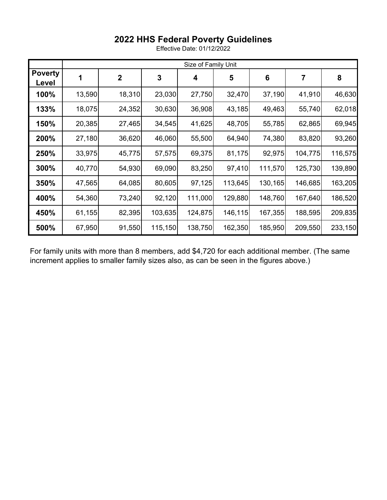## **2022 HHS Federal Poverty Guidelines**

Effective Date: 01/12/2022

|                         | Size of Family Unit |             |         |         |         |         |         |         |
|-------------------------|---------------------|-------------|---------|---------|---------|---------|---------|---------|
| <b>Poverty</b><br>Level |                     | $\mathbf 2$ | 3       | 4       | 5       | 6       | 7       | 8       |
| 100%                    | 13,590              | 18,310      | 23,030  | 27,750  | 32,470  | 37,190  | 41,910  | 46,630  |
| 133%                    | 18,075              | 24,352      | 30,630  | 36,908  | 43,185  | 49,463  | 55,740  | 62,018  |
| 150%                    | 20,385              | 27,465      | 34,545  | 41,625  | 48,705  | 55,785  | 62,865  | 69,945  |
| 200%                    | 27,180              | 36,620      | 46,060  | 55,500  | 64,940  | 74,380  | 83,820  | 93,260  |
| 250%                    | 33,975              | 45,775      | 57,575  | 69,375  | 81,175  | 92,975  | 104,775 | 116,575 |
| 300%                    | 40,770              | 54,930      | 69,090  | 83,250  | 97,410  | 111,570 | 125,730 | 139,890 |
| 350%                    | 47,565              | 64,085      | 80,605  | 97,125  | 113,645 | 130,165 | 146,685 | 163,205 |
| 400%                    | 54,360              | 73,240      | 92,120  | 111,000 | 129,880 | 148,760 | 167,640 | 186,520 |
| 450%                    | 61,155              | 82,395      | 103,635 | 124,875 | 146,115 | 167,355 | 188,595 | 209,835 |
| 500%                    | 67,950              | 91,550      | 115,150 | 138,750 | 162,350 | 185,950 | 209,550 | 233,150 |

For family units with more than 8 members, add \$4,720 for each additional member. (The same increment applies to smaller family sizes also, as can be seen in the figures above.)